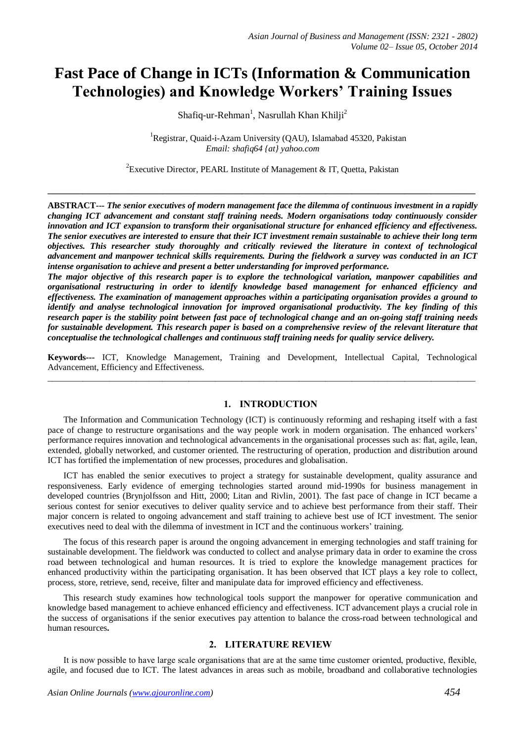# **Fast Pace of Change in ICTs (Information & Communication Technologies) and Knowledge Workers' Training Issues**

Shafiq-ur-Rehman<sup>1</sup>, Nasrullah Khan Khilji<sup>2</sup>

<sup>1</sup>Registrar, Quaid-i-Azam University (QAU), Islamabad 45320, Pakistan *Email: shafiq64 {at} yahoo.com*

<sup>2</sup> Executive Director, PEARL Institute of Management & IT, Quetta, Pakistan

**\_\_\_\_\_\_\_\_\_\_\_\_\_\_\_\_\_\_\_\_\_\_\_\_\_\_\_\_\_\_\_\_\_\_\_\_\_\_\_\_\_\_\_\_\_\_\_\_\_\_\_\_\_\_\_\_\_\_\_\_\_\_\_\_\_\_\_\_\_\_\_\_\_\_\_\_\_\_\_\_\_\_\_\_\_\_\_\_\_\_\_\_\_\_\_\_\_**

**ABSTRACT---** *The senior executives of modern management face the dilemma of continuous investment in a rapidly changing ICT advancement and constant staff training needs. Modern organisations today continuously consider innovation and ICT expansion to transform their organisational structure for enhanced efficiency and effectiveness. The senior executives are interested to ensure that their ICT investment remain sustainable to achieve their long term objectives. This researcher study thoroughly and critically reviewed the literature in context of technological advancement and manpower technical skills requirements. During the fieldwork a survey was conducted in an ICT intense organisation to achieve and present a better understanding for improved performance.* 

*The major objective of this research paper is to explore the technological variation, manpower capabilities and organisational restructuring in order to identify knowledge based management for enhanced efficiency and effectiveness. The examination of management approaches within a participating organisation provides a ground to identify and analyse technological innovation for improved organisational productivity. The key finding of this research paper is the stability point between fast pace of technological change and an on-going staff training needs for sustainable development. This research paper is based on a comprehensive review of the relevant literature that conceptualise the technological challenges and continuous staff training needs for quality service delivery.* 

**Keywords---** ICT, Knowledge Management, Training and Development, Intellectual Capital, Technological Advancement, Efficiency and Effectiveness.  $\_$  ,  $\_$  ,  $\_$  ,  $\_$  ,  $\_$  ,  $\_$  ,  $\_$  ,  $\_$  ,  $\_$  ,  $\_$  ,  $\_$  ,  $\_$  ,  $\_$  ,  $\_$  ,  $\_$  ,  $\_$  ,  $\_$  ,  $\_$  ,  $\_$  ,  $\_$  ,  $\_$  ,  $\_$  ,  $\_$  ,  $\_$  ,  $\_$  ,  $\_$  ,  $\_$  ,  $\_$  ,  $\_$  ,  $\_$  ,  $\_$  ,  $\_$  ,  $\_$  ,  $\_$  ,  $\_$  ,  $\_$  ,  $\_$  ,

### **1. INTRODUCTION**

The Information and Communication Technology (ICT) is continuously reforming and reshaping itself with a fast pace of change to restructure organisations and the way people work in modern organisation. The enhanced workers' performance requires innovation and technological advancements in the organisational processes such as: flat, agile, lean, extended, globally networked, and customer oriented. The restructuring of operation, production and distribution around ICT has fortified the implementation of new processes, procedures and globalisation.

ICT has enabled the senior executives to project a strategy for sustainable development, quality assurance and responsiveness. Early evidence of emerging technologies started around mid-1990s for business management in developed countries (Brynjolfsson and Hitt, 2000; Litan and Rivlin, 2001). The fast pace of change in ICT became a serious contest for senior executives to deliver quality service and to achieve best performance from their staff. Their major concern is related to ongoing advancement and staff training to achieve best use of ICT investment. The senior executives need to deal with the dilemma of investment in ICT and the continuous workers' training.

The focus of this research paper is around the ongoing advancement in emerging technologies and staff training for sustainable development. The fieldwork was conducted to collect and analyse primary data in order to examine the cross road between technological and human resources. It is tried to explore the knowledge management practices for enhanced productivity within the participating organisation. It has been observed that ICT plays a key role to collect, process, store, retrieve, send, receive, filter and manipulate data for improved efficiency and effectiveness.

This research study examines how technological tools support the manpower for operative communication and knowledge based management to achieve enhanced efficiency and effectiveness. ICT advancement plays a crucial role in the success of organisations if the senior executives pay attention to balance the cross-road between technological and human resources**.** 

# **2. LITERATURE REVIEW**

It is now possible to have large scale organisations that are at the same time customer oriented, productive, flexible, agile, and focused due to ICT. The latest advances in areas such as mobile, broadband and collaborative technologies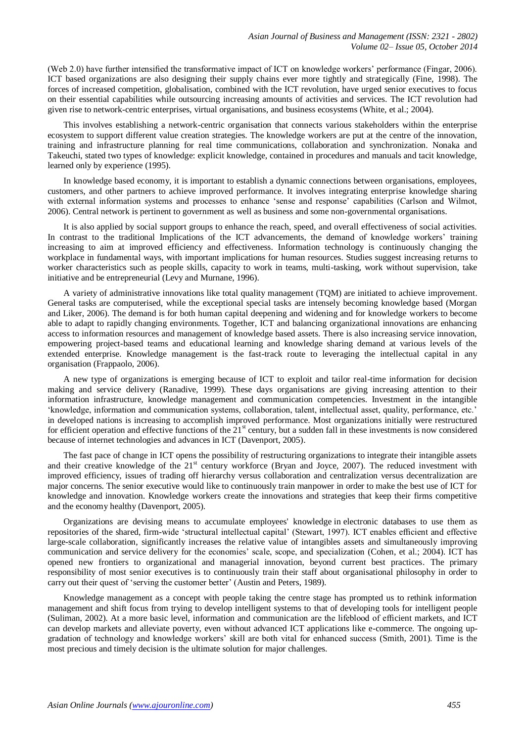(Web 2.0) have further intensified the transformative impact of ICT on knowledge workers' performance (Fingar, 2006). ICT based organizations are also designing their supply chains ever more tightly and strategically (Fine, 1998). The forces of increased competition, globalisation, combined with the ICT revolution, have urged senior executives to focus on their essential capabilities while outsourcing increasing amounts of activities and services. The ICT revolution had given rise to network-centric enterprises, virtual organisations, and business ecosystems (White, et al.; 2004).

This involves establishing a network-centric organisation that connects various stakeholders within the enterprise ecosystem to support different value creation strategies. The knowledge workers are put at the centre of the innovation, training and infrastructure planning for real time communications, collaboration and synchronization. Nonaka and Takeuchi, stated two types of knowledge: explicit knowledge, contained in procedures and manuals and tacit knowledge, learned only by experience (1995).

In knowledge based economy, it is important to establish a dynamic connections between organisations, employees, customers, and other partners to achieve improved performance. It involves integrating enterprise knowledge sharing with external information systems and processes to enhance 'sense and response' capabilities (Carlson and Wilmot, 2006). Central network is pertinent to government as well as business and some non-governmental organisations.

It is also applied by social support groups to enhance the reach, speed, and overall effectiveness of social activities. In contrast to the traditional Implications of the ICT advancements, the demand of knowledge workers' training increasing to aim at improved efficiency and effectiveness. Information technology is continuously changing the workplace in fundamental ways, with important implications for human resources. Studies suggest increasing returns to worker characteristics such as people skills, capacity to work in teams, multi-tasking, work without supervision, take initiative and be entrepreneurial (Levy and Murnane, 1996).

A variety of administrative innovations like total quality management (TQM) are initiated to achieve improvement. General tasks are computerised, while the exceptional special tasks are intensely becoming knowledge based (Morgan and Liker, 2006). The demand is for both human capital deepening and widening and for knowledge workers to become able to adapt to rapidly changing environments. Together, ICT and balancing organizational innovations are enhancing access to information resources and management of knowledge based assets. There is also increasing service innovation, empowering project-based teams and educational learning and knowledge sharing demand at various levels of the extended enterprise. Knowledge management is the fast-track route to leveraging the intellectual capital in any organisation (Frappaolo, 2006).

A new type of organizations is emerging because of ICT to exploit and tailor real-time information for decision making and service delivery (Ranadive, 1999). These days organisations are giving increasing attention to their information infrastructure, knowledge management and communication competencies. Investment in the intangible 'knowledge, information and communication systems, collaboration, talent, intellectual asset, quality, performance, etc.' in developed nations is increasing to accomplish improved performance. Most organizations initially were restructured for efficient operation and effective functions of the  $21<sup>st</sup>$  century, but a sudden fall in these investments is now considered because of internet technologies and advances in ICT (Davenport, 2005).

The fast pace of change in ICT opens the possibility of restructuring organizations to integrate their intangible assets and their creative knowledge of the 21<sup>st</sup> century workforce (Bryan and Joyce, 2007). The reduced investment with improved efficiency, issues of trading off hierarchy versus collaboration and centralization versus decentralization are major concerns. The senior executive would like to continuously train manpower in order to make the best use of ICT for knowledge and innovation. Knowledge workers create the innovations and strategies that keep their firms competitive and the economy healthy (Davenport, 2005).

Organizations are devising means to accumulate employees' knowledge in electronic databases to use them as repositories of the shared, firm-wide 'structural intellectual capital' (Stewart, 1997). ICT enables efficient and effective large-scale collaboration, significantly increases the relative value of intangibles assets and simultaneously improving communication and service delivery for the economies' scale, scope, and specialization (Cohen, et al.; 2004). ICT has opened new frontiers to organizational and managerial innovation, beyond current best practices. The primary responsibility of most senior executives is to continuously train their staff about organisational philosophy in order to carry out their quest of 'serving the customer better' (Austin and Peters, 1989).

Knowledge management as a concept with people taking the centre stage has prompted us to rethink information management and shift focus from trying to develop intelligent systems to that of developing tools for intelligent people (Suliman, 2002). At a more basic level, information and communication are the lifeblood of efficient markets, and ICT can develop markets and alleviate poverty, even without advanced ICT applications like e-commerce. The ongoing upgradation of technology and knowledge workers' skill are both vital for enhanced success (Smith, 2001). Time is the most precious and timely decision is the ultimate solution for major challenges.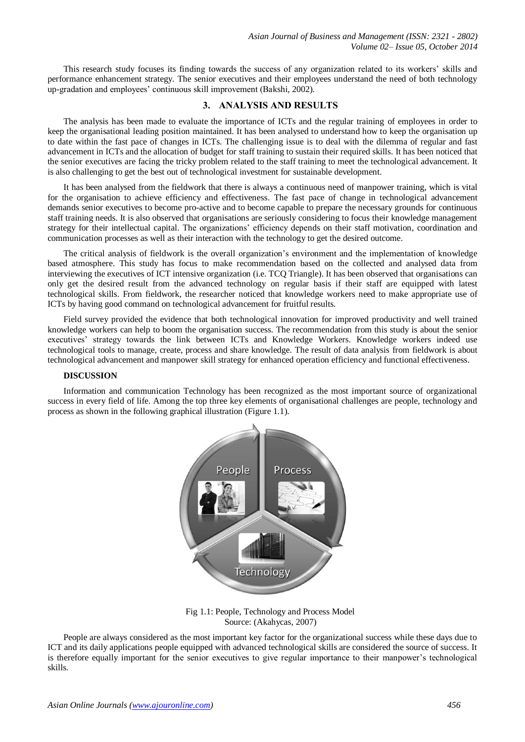This research study focuses its finding towards the success of any organization related to its workers' skills and performance enhancement strategy. The senior executives and their employees understand the need of both technology up-gradation and employees' continuous skill improvement (Bakshi, 2002).

#### **3. ANALYSIS AND RESULTS**

The analysis has been made to evaluate the importance of ICTs and the regular training of employees in order to keep the organisational leading position maintained. It has been analysed to understand how to keep the organisation up to date within the fast pace of changes in ICTs. The challenging issue is to deal with the dilemma of regular and fast advancement in ICTs and the allocation of budget for staff training to sustain their required skills. It has been noticed that the senior executives are facing the tricky problem related to the staff training to meet the technological advancement. It is also challenging to get the best out of technological investment for sustainable development.

It has been analysed from the fieldwork that there is always a continuous need of manpower training, which is vital for the organisation to achieve efficiency and effectiveness. The fast pace of change in technological advancement demands senior executives to become pro-active and to become capable to prepare the necessary grounds for continuous staff training needs. It is also observed that organisations are seriously considering to focus their knowledge management strategy for their intellectual capital. The organizations' efficiency depends on their staff motivation, coordination and communication processes as well as their interaction with the technology to get the desired outcome.

The critical analysis of fieldwork is the overall organization's environment and the implementation of knowledge based atmosphere. This study has focus to make recommendation based on the collected and analysed data from interviewing the executives of ICT intensive organization (i.e. TCQ Triangle). It has been observed that organisations can only get the desired result from the advanced technology on regular basis if their staff are equipped with latest technological skills. From fieldwork, the researcher noticed that knowledge workers need to make appropriate use of ICTs by having good command on technological advancement for fruitful results.

Field survey provided the evidence that both technological innovation for improved productivity and well trained knowledge workers can help to boom the organisation success. The recommendation from this study is about the senior executives' strategy towards the link between ICTs and Knowledge Workers. Knowledge workers indeed use technological tools to manage, create, process and share knowledge. The result of data analysis from fieldwork is about technological advancement and manpower skill strategy for enhanced operation efficiency and functional effectiveness.

#### **DISCUSSION**

Information and communication Technology has been recognized as the most important source of organizational success in every field of life. Among the top three key elements of organisational challenges are people, technology and process as shown in the following graphical illustration (Figure 1.1).



Fig 1.1: People, Technology and Process Model Source: (Akahycas, 2007)

People are always considered as the most important key factor for the organizational success while these days due to ICT and its daily applications people equipped with advanced technological skills are considered the source of success. It is therefore equally important for the senior executives to give regular importance to their manpower's technological skills.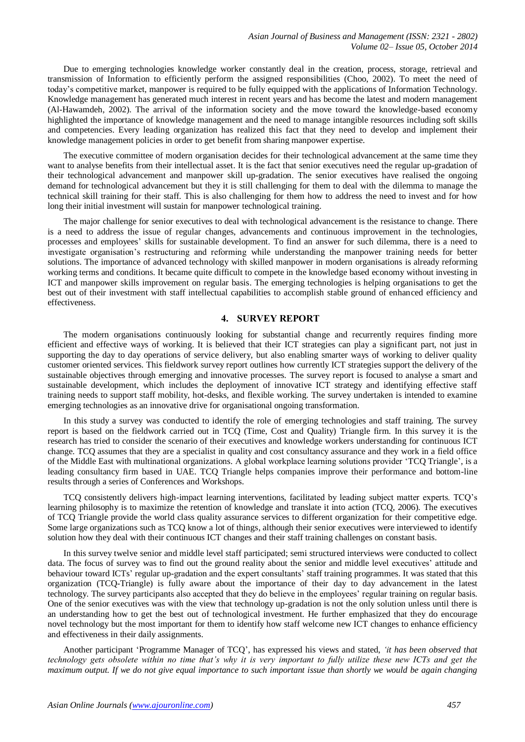Due to emerging technologies knowledge worker constantly deal in the creation, process, storage, retrieval and transmission of Information to efficiently perform the assigned responsibilities (Choo, 2002). To meet the need of today's competitive market, manpower is required to be fully equipped with the applications of Information Technology. Knowledge management has generated much interest in recent years and has become the latest and modern management (Al-Hawamdeh, 2002). The arrival of the information society and the move toward the knowledge-based economy highlighted the importance of knowledge management and the need to manage intangible resources including soft skills and competencies. Every leading organization has realized this fact that they need to develop and implement their knowledge management policies in order to get benefit from sharing manpower expertise.

The executive committee of modern organisation decides for their technological advancement at the same time they want to analyse benefits from their intellectual asset. It is the fact that senior executives need the regular up-gradation of their technological advancement and manpower skill up-gradation. The senior executives have realised the ongoing demand for technological advancement but they it is still challenging for them to deal with the dilemma to manage the technical skill training for their staff. This is also challenging for them how to address the need to invest and for how long their initial investment will sustain for manpower technological training.

The major challenge for senior executives to deal with technological advancement is the resistance to change. There is a need to address the issue of regular changes, advancements and continuous improvement in the technologies, processes and employees' skills for sustainable development. To find an answer for such dilemma, there is a need to investigate organisation's restructuring and reforming while understanding the manpower training needs for better solutions. The importance of advanced technology with skilled manpower in modern organisations is already reforming working terms and conditions. It became quite difficult to compete in the knowledge based economy without investing in ICT and manpower skills improvement on regular basis. The emerging technologies is helping organisations to get the best out of their investment with staff intellectual capabilities to accomplish stable ground of enhanced efficiency and effectiveness.

#### **4. SURVEY REPORT**

The modern organisations continuously looking for substantial change and recurrently requires finding more efficient and effective ways of working. It is believed that their ICT strategies can play a significant part, not just in supporting the day to day operations of service delivery, but also enabling smarter ways of working to deliver quality customer oriented services. This fieldwork survey report outlines how currently ICT strategies support the delivery of the sustainable objectives through emerging and innovative processes. The survey report is focused to analyse a smart and sustainable development, which includes the deployment of innovative ICT strategy and identifying effective staff training needs to support staff mobility, hot-desks, and flexible working. The survey undertaken is intended to examine emerging technologies as an innovative drive for organisational ongoing transformation.

In this study a survey was conducted to identify the role of emerging technologies and staff training. The survey report is based on the fieldwork carried out in TCQ (Time, Cost and Quality) Triangle firm. In this survey it is the research has tried to consider the scenario of their executives and knowledge workers understanding for continuous ICT change. TCQ assumes that they are a specialist in quality and cost consultancy assurance and they work in a field office of the Middle East with multinational organizations. A global workplace learning solutions provider 'TCQ Triangle', is a leading consultancy firm based in UAE. TCQ Triangle helps companies improve their performance and bottom-line results through a series of Conferences and Workshops.

TCQ consistently delivers high-impact learning interventions, facilitated by leading subject matter experts. TCQ's learning philosophy is to maximize the retention of knowledge and translate it into action (TCQ, 2006). The executives of TCQ Triangle provide the world class quality assurance services to different organization for their competitive edge. Some large organizations such as TCQ know a lot of things, although their senior executives were interviewed to identify solution how they deal with their continuous ICT changes and their staff training challenges on constant basis.

In this survey twelve senior and middle level staff participated; semi structured interviews were conducted to collect data. The focus of survey was to find out the ground reality about the senior and middle level executives' attitude and behaviour toward ICTs' regular up-gradation and the expert consultants' staff training programmes. It was stated that this organization (TCQ-Triangle) is fully aware about the importance of their day to day advancement in the latest technology. The survey participants also accepted that they do believe in the employees' regular training on regular basis. One of the senior executives was with the view that technology up-gradation is not the only solution unless until there is an understanding how to get the best out of technological investment. He further emphasized that they do encourage novel technology but the most important for them to identify how staff welcome new ICT changes to enhance efficiency and effectiveness in their daily assignments.

Another participant 'Programme Manager of TCQ', has expressed his views and stated, *'it has been observed that technology gets obsolete within no time that's why it is very important to fully utilize these new ICTs and get the maximum output. If we do not give equal importance to such important issue than shortly we would be again changing*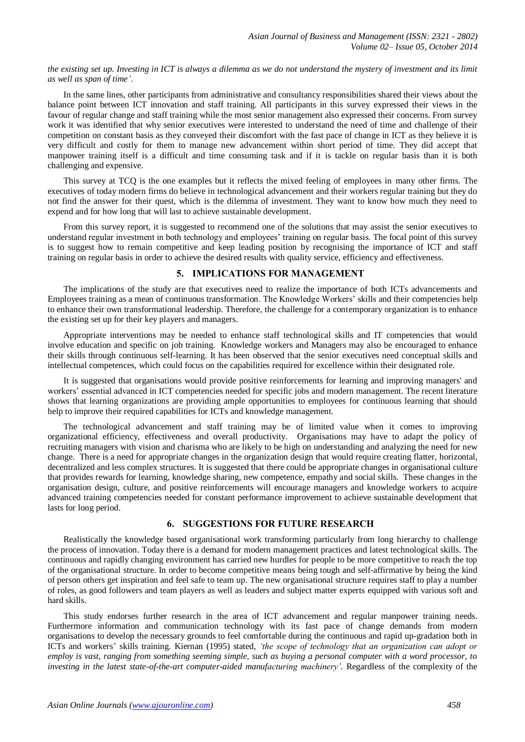*the existing set up. Investing in ICT is always a dilemma as we do not understand the mystery of investment and its limit as well as span of time'*.

In the same lines, other participants from administrative and consultancy responsibilities shared their views about the balance point between ICT innovation and staff training. All participants in this survey expressed their views in the favour of regular change and staff training while the most senior management also expressed their concerns. From survey work it was identified that why senior executives were interested to understand the need of time and challenge of their competition on constant basis as they conveyed their discomfort with the fast pace of change in ICT as they believe it is very difficult and costly for them to manage new advancement within short period of time. They did accept that manpower training itself is a difficult and time consuming task and if it is tackle on regular basis than it is both challenging and expensive.

This survey at TCQ is the one examples but it reflects the mixed feeling of employees in many other firms. The executives of today modern firms do believe in technological advancement and their workers regular training but they do not find the answer for their quest, which is the dilemma of investment. They want to know how much they need to expend and for how long that will last to achieve sustainable development.

From this survey report, it is suggested to recommend one of the solutions that may assist the senior executives to understand regular investment in both technology and employees' training on regular basis. The focal point of this survey is to suggest how to remain competitive and keep leading position by recognising the importance of ICT and staff training on regular basis in order to achieve the desired results with quality service, efficiency and effectiveness.

## **5. IMPLICATIONS FOR MANAGEMENT**

The implications of the study are that executives need to realize the importance of both ICTs advancements and Employees training as a mean of continuous transformation. The Knowledge Workers' skills and their competencies help to enhance their own transformational leadership. Therefore, the challenge for a contemporary organization is to enhance the existing set up for their key players and managers.

Appropriate interventions may be needed to enhance staff technological skills and IT competencies that would involve education and specific on job training. Knowledge workers and Managers may also be encouraged to enhance their skills through continuous self-learning. It has been observed that the senior executives need conceptual skills and intellectual competences, which could focus on the capabilities required for excellence within their designated role.

It is suggested that organisations would provide positive reinforcements for learning and improving managers' and workers' essential advanced in ICT competencies needed for specific jobs and modern management. The recent literature shows that learning organizations are providing ample opportunities to employees for continuous learning that should help to improve their required capabilities for ICTs and knowledge management.

The technological advancement and staff training may be of limited value when it comes to improving organizational efficiency, effectiveness and overall productivity. Organisations may have to adapt the policy of recruiting managers with vision and charisma who are likely to be high on understanding and analyzing the need for new change. There is a need for appropriate changes in the organization design that would require creating flatter, horizontal, decentralized and less complex structures. It is suggested that there could be appropriate changes in organisational culture that provides rewards for learning, knowledge sharing, new competence, empathy and social skills. These changes in the organisation design, culture, and positive reinforcements will encourage managers and knowledge workers to acquire advanced training competencies needed for constant performance improvement to achieve sustainable development that lasts for long period.

## **6. SUGGESTIONS FOR FUTURE RESEARCH**

Realistically the knowledge based organisational work transforming particularly from long hierarchy to challenge the process of innovation. Today there is a demand for modern management practices and latest technological skills. The continuous and rapidly changing environment has carried new hurdles for people to be more competitive to reach the top of the organisational structure. In order to become competitive means being tough and self-affirmative by being the kind of person others get inspiration and feel safe to team up. The new organisational structure requires staff to play a number of roles, as good followers and team players as well as leaders and subject matter experts equipped with various soft and hard skills.

This study endorses further research in the area of ICT advancement and regular manpower training needs. Furthermore information and communication technology with its fast pace of change demands from modern organisations to develop the necessary grounds to feel comfortable during the continuous and rapid up-gradation both in ICTs and workers' skills training. Kiernan (1995) stated, *'the scope of technology that an organization can adopt or employ is vast, ranging from something seeming simple, such as buying a personal computer with a word processor, to investing in the latest state-of-the-art computer-aided manufacturing machinery'*. Regardless of the complexity of the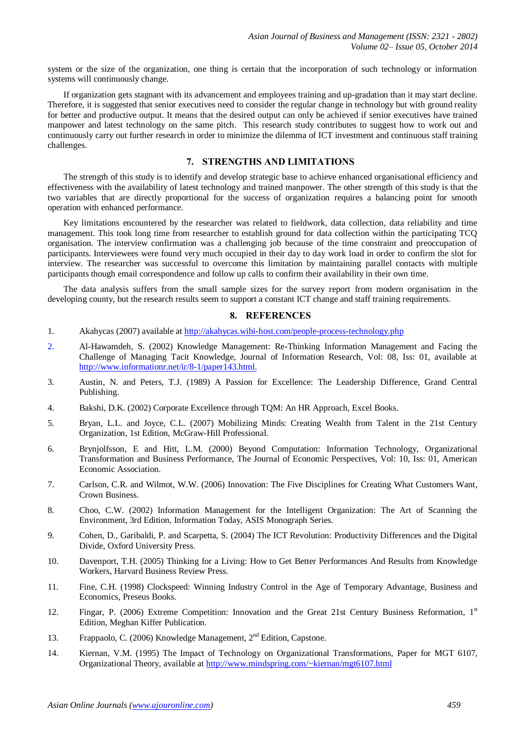system or the size of the organization, one thing is certain that the incorporation of such technology or information systems will continuously change.

If organization gets stagnant with its advancement and employees training and up-gradation than it may start decline. Therefore, it is suggested that senior executives need to consider the regular change in technology but with ground reality for better and productive output. It means that the desired output can only be achieved if senior executives have trained manpower and latest technology on the same pitch. This research study contributes to suggest how to work out and continuously carry out further research in order to minimize the dilemma of ICT investment and continuous staff training challenges.

# **7. STRENGTHS AND LIMITATIONS**

The strength of this study is to identify and develop strategic base to achieve enhanced organisational efficiency and effectiveness with the availability of latest technology and trained manpower. The other strength of this study is that the two variables that are directly proportional for the success of organization requires a balancing point for smooth operation with enhanced performance.

Key limitations encountered by the researcher was related to fieldwork, data collection, data reliability and time management. This took long time from researcher to establish ground for data collection within the participating TCQ organisation. The interview confirmation was a challenging job because of the time constraint and preoccupation of participants. Interviewees were found very much occupied in their day to day work load in order to confirm the slot for interview. The researcher was successful to overcome this limitation by maintaining parallel contacts with multiple participants though email correspondence and follow up calls to confirm their availability in their own time.

The data analysis suffers from the small sample sizes for the survey report from modern organisation in the developing county, but the research results seem to support a constant ICT change and staff training requirements.

## **8. REFERENCES**

- 1. Akahycas (2007) available at<http://akahycas.wibi-host.com/people-process-technology.php>
- 2. Al-Hawamdeh, S. (2002) Knowledge Management: Re-Thinking Information Management and Facing the Challenge of Managing Tacit Knowledge, Journal of Information Research, Vol: 08, Iss: 01, available at [http://www.informationr.net/ir/8-1/paper143.html.](http://www.informationr.net/ir/8-1/paper143.html)
- 3. Austin, N. and Peters, T.J. (1989) A Passion for Excellence: The Leadership Difference, Grand Central Publishing.
- 4. Bakshi, D.K. (2002) Corporate Excellence through TQM: An HR Approach, Excel Books.
- 5. Bryan, L.L. and Joyce, C.L. (2007) Mobilizing Minds: Creating Wealth from Talent in the 21st Century Organization, 1st Edition, McGraw-Hill Professional.
- 6. Brynjolfsson, E and Hitt, L.M. (2000) Beyond Computation: Information Technology, Organizational Transformation and Business Performance, The Journal of Economic Perspectives, Vol: 10, Iss: 01, American Economic Association.
- 7. Carlson, C.R. and Wilmot, W.W. (2006) Innovation: The Five Disciplines for Creating What Customers Want, Crown Business.
- 8. Choo, C.W. (2002) Information Management for the Intelligent Organization: The Art of Scanning the Environment, 3rd Edition, Information Today, ASIS Monograph Series.
- 9. Cohen, D., Garibaldi, P. and Scarpetta, S. (2004) The ICT Revolution: Productivity Differences and the Digital Divide, Oxford University Press.
- 10. Davenport, T.H. (2005) Thinking for a Living: How to Get Better Performances And Results from Knowledge Workers, Harvard Business Review Press.
- 11. Fine, C.H. (1998) Clockspeed: Winning Industry Control in the Age of Temporary Advantage, Business and Economics, Preseus Books.
- 12. Fingar, P. (2006) Extreme Competition: Innovation and the Great 21st Century Business Reformation, 1st Edition, Meghan Kiffer Publication.
- 13. Frappaolo, C. (2006) Knowledge Management, 2nd Edition, Capstone.
- 14. Kiernan, V.M. (1995) The Impact of Technology on Organizational Transformations, Paper for MGT 6107, Organizational Theory, available at<http://www.mindspring.com/~kiernan/mgt6107.html>